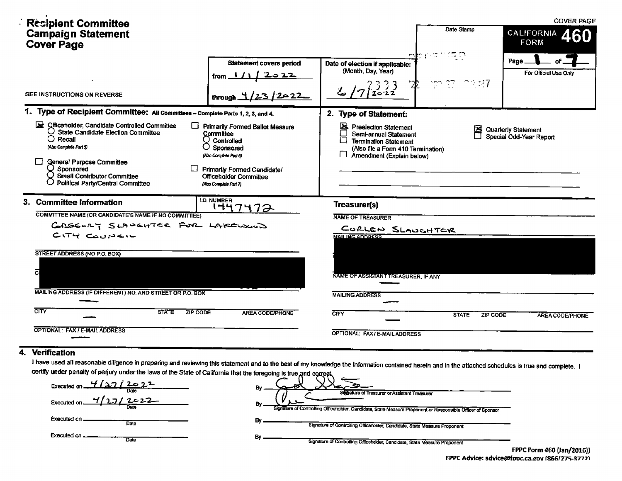| <b>Resipient Committee</b>                                                                                                                                                                                                                                               |                                                                                                                                                                                                           |                                                                                                                                                                      |                              | <b>COVER PAGE</b>                              |
|--------------------------------------------------------------------------------------------------------------------------------------------------------------------------------------------------------------------------------------------------------------------------|-----------------------------------------------------------------------------------------------------------------------------------------------------------------------------------------------------------|----------------------------------------------------------------------------------------------------------------------------------------------------------------------|------------------------------|------------------------------------------------|
| <b>Campaign Statement</b><br><b>Cover Page</b>                                                                                                                                                                                                                           |                                                                                                                                                                                                           |                                                                                                                                                                      | Date Stamp                   | <b>CALIFORNIA</b><br>60<br><b>FORM</b>         |
| SEE INSTRUCTIONS ON REVERSE                                                                                                                                                                                                                                              | <b>Statement covers period</b><br>from $1/1/2022$<br>202<br>through $\pm$                                                                                                                                 | Date of election if applicable:<br>(Month, Day, Year)                                                                                                                | nbrist (SD<br>-27.<br>79 M.Z | Page<br>For Official Use Only                  |
| 1. Type of Recipient Committee: All Committees - Complete Parts 1, 2, 3, and 4.                                                                                                                                                                                          |                                                                                                                                                                                                           | 2. Type of Statement:                                                                                                                                                |                              |                                                |
| officeholder, Candidate Controlled Committee<br><b>State Candidate Election Committee</b><br>Ő<br>$\bigcap$ Recall<br>(Also Complete Part 5)<br><b>General Purpose Committee</b><br>Sponsored<br><b>Small Contributor Committee</b><br>Political Party/Central Committee | <b>Primarily Formed Ballot Measure</b><br>Committee<br>$\cup$ Controlled<br>Sponsored<br>(Also Complete Part 6)<br><b>Primarily Formed Candidate/</b><br>Officeholder Committee<br>(Also Complete Part 7) | 呂<br><b>Preelection Statement</b><br>Semi-annual Statement<br><b>Termination Statement</b><br>(Also file a Form 410 Termination)<br>$\Box$ Amendment (Explain below) | ⊠                            | Quarterly Statement<br>Special Odd-Year Report |
| 3. Committee Information                                                                                                                                                                                                                                                 | <b>I.D. NUMBER</b><br>1447472                                                                                                                                                                             | Treasurer(s)                                                                                                                                                         |                              |                                                |
| COMMITTEE NAME (OR CANDIDATE'S NAME IF NO COMMITTEE)<br>GREEORY SLAUGHTER FOR LAKELOWOD<br>$CITY$ COUNCIL<br>STREET ADDRESS (NO P.O. BOX)<br>ā                                                                                                                           |                                                                                                                                                                                                           | <b>NAME OF TREASURER</b><br>CORLEN SLAUGHTER<br><b>MAILING ADDRESS</b><br>NAME OF ASSISTANT TREASURER, IF ANY                                                        |                              |                                                |
| MAILING ADDRESS (IF DIFFERENT) NO. AND STREET OR P.O. BOX                                                                                                                                                                                                                |                                                                                                                                                                                                           | <b>MAILING ADDRESS</b>                                                                                                                                               |                              |                                                |
| $\overline{\text{CITY}}$<br><b>STATE</b><br><b>ZIP CODE</b>                                                                                                                                                                                                              | AREA CODE/PHONE                                                                                                                                                                                           | CITY                                                                                                                                                                 | <b>STATE</b><br>ZIP CODE     | <b>AREA CODE/PHONE</b>                         |
| OPTIONAL: FAX / E-MAIL ADDRESS                                                                                                                                                                                                                                           |                                                                                                                                                                                                           | OPTIONAL: FAX/E-MAIL ADDRESS                                                                                                                                         |                              |                                                |

# $\overline{4}$

I have used all reasonable diligence in preparing and reviewing this statement and to the best of my knowledge the information contained herein and in the attached schedules is true and complete. I certify under penalty of perjury under the laws of the State of California that the foregoing is true and correct

| Executed on $\frac{1}{2}$ $(27/202)^2$<br>Dett | Siggature of Treasurer or Assistant Treasurer                                                               |
|------------------------------------------------|-------------------------------------------------------------------------------------------------------------|
| Executed on.<br>Date                           | Signature of Controlling Officeholder, Candidate, State Measure Proponent or Responsible Officer of Sponsor |
| Executed on<br>Date                            | Signature of Controlling Officeholder, Candidate, State Measure Proponent                                   |
| Executed on<br>Date                            | в.<br>Signature of Controlling Officeholder, Candidate, State Measure Proponent                             |
|                                                | <b>CDDC Fease 460 U.</b>                                                                                    |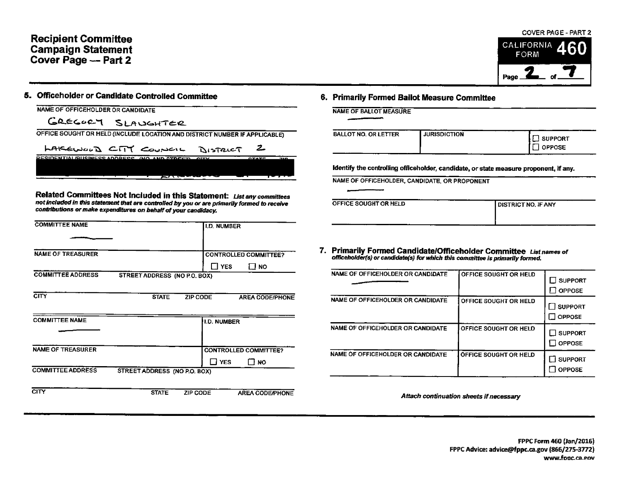## Recipient Committee **Campaign Statement** Cover Page -- Part 2

### S. Officeholder or Candidate Controlled Committee 6. Primarily Formed Ballot Measure Committee

| NAME OF OFFICEHOLDER OR CANDIDATE                                          | <b>NAME OF BALLOT MEASUR</b> |
|----------------------------------------------------------------------------|------------------------------|
| GREGORY SLAUGHTER                                                          |                              |
| OFFICE SOUGHT OR HELD (INCLUDE LOCATION AND DISTRICT NUMBER IF APPLICABLE) | <b>BALLOT NO. OR LETTER</b>  |

LAKEWOOD CITY COUNCIL DISTRICT RESIDENTIALIBUSINESS ADDRESS (NO. AND STREET

Related Committees Not Included in this Statement: List any committees not included in this statement that are controlled by you or are primarily formed to receive contributions ormake expenditures on behalf of your candidacy.

| <b>COMMITTEE NAME</b>                   | I.D. NUMBER                                                              |                                                                                                                                                     |
|-----------------------------------------|--------------------------------------------------------------------------|-----------------------------------------------------------------------------------------------------------------------------------------------------|
| <b>NAME OF TREASURER</b>                | <b>CONTROLLED COMMITTEE?</b><br>$\Box$ Yes<br>⊡ мо                       | 7. Primarily Formed Candidate/Officeholder Committee List names of<br>officeholder(s) or candidate(s) for which this committee is primarily formed. |
| <b>COMMITTEE ADDRESS</b>                | STREET ADDRESS (NO P.O. BOX)                                             | NAME OF OFFICEHOLDER OR CANDIDATE<br>OFFICE SOUGHT OR HELD<br>$\square$ suppor<br>$\Box$ OPPOS                                                      |
| <b>CITY</b><br><b>COMMITTEE NAME</b>    | <b>STATE</b><br>ZIP CODE<br><b>AREA CODE/PHONE</b><br><b>I.D. NUMBER</b> | NAME OF OFFICEHOLDER OR CANDIDATE<br>OFFICE SOUGHT OR HELD<br>$\Box$ SUPPOR<br>$\Box$ OPPOSI                                                        |
|                                         |                                                                          | NAME OF OFFICEHOLDER OR CANDIDATE<br>OFFICE SOUGHT OR HELD<br>$\Box$ SUPPO<br>$\Box$ oppos                                                          |
| NAME OF TREASURER                       | <b>CONTROLLED COMMITTEE?</b><br>$\square$ NO<br>$\Box$ YES               | NAME OF OFFICEHOLDER OR CANDIDATE<br>OFFICE SOUGHT OR HELD<br>$\Box$ suppor<br>$\Box$ OPPOS                                                         |
| <b>COMMITTEE ADDRESS</b><br><b>CITY</b> | STREET ADDRESS (NO P.O. BOX)                                             |                                                                                                                                                     |
|                                         | <b>STATE</b><br>ZIP CODE<br>AREA CODE/PHONE                              | Attach continuation sheets if necessary                                                                                                             |

| PLICABLE)   | <b>BALLOT NO. OR LETTER</b>                   | <b>JURISDICTION</b>                                                                   | <b>SUPPORT</b> |
|-------------|-----------------------------------------------|---------------------------------------------------------------------------------------|----------------|
|             |                                               |                                                                                       | <b>OPPOSE</b>  |
| <b>7.15</b> |                                               |                                                                                       |                |
|             | NAME OF OFFICEHOLDER, CANDIDATE, OR PROPONENT | Identify the controlling officeholder, candidate, or state measure proponent, if any. |                |

| .<br>__                         |                                   |                              |                                   |
|---------------------------------|-----------------------------------|------------------------------|-----------------------------------|
|                                 | NAME OF OFFICEHOLDER OR CANDIDATE | OFFICE SOUGHT OR HELD        | <b>SUPPORT</b><br><b>OPPOSE</b>   |
| <b>AREA CODE/PHONE</b><br>UMBER | NAME OF OFFICEHOLDER OR CANDIDATE | <b>OFFICE SOUGHT OR HELD</b> | <b>I</b> SUPPORT<br>$\Box$ OPPOSE |
| <b>ROLLED COMMITTEE?</b>        | NAME OF OFFICEHOLDER OR CANDIDATE | OFFICE SOUGHT OR HELD        | <b>SUPPORT</b><br><b>OPPOSE</b>   |
| YES<br>Пмо                      | NAME OF OFFICEHOLDER OR CANDIDATE | OFFICE SOUGHT OR HELD        | $\Box$ SUPPORT<br>$\Box$ OPPOSE   |

### COVER PAGE - PART 2

60

CALIFORNIA FORM

Page  $2$  of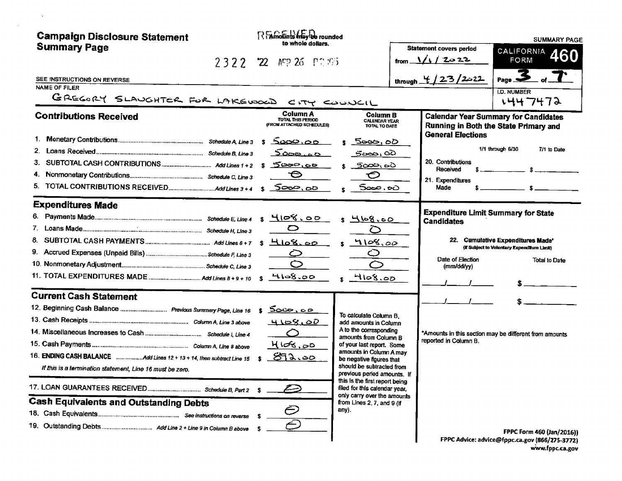| <b>Campaign Disclosure Statement</b>                                                                                                                                                                      | REAmounts Inlay be rounded<br>to whole dollars.                                                                                                                                                                                                                                                                                                                                                                                                           |                                                                                                   | <b>SUMMARY PAGE</b>                                                                                                                 |
|-----------------------------------------------------------------------------------------------------------------------------------------------------------------------------------------------------------|-----------------------------------------------------------------------------------------------------------------------------------------------------------------------------------------------------------------------------------------------------------------------------------------------------------------------------------------------------------------------------------------------------------------------------------------------------------|---------------------------------------------------------------------------------------------------|-------------------------------------------------------------------------------------------------------------------------------------|
| <b>Summary Page</b>                                                                                                                                                                                       | $2322$ 22 MP 26 PT $55$                                                                                                                                                                                                                                                                                                                                                                                                                                   | <b>Statement covers period</b><br>from $\sqrt{1/2}$ 2022                                          | CALIFORNIA 460<br>FORM                                                                                                              |
| SEE INSTRUCTIONS ON REVERSE<br>NAME OF FILER<br>GREGORY SLAUGHTER FOR LAKEWOOD CITY COUNCIL                                                                                                               |                                                                                                                                                                                                                                                                                                                                                                                                                                                           | through $4/23/2022$                                                                               | $P_{\text{age}}$ 3<br>I.D. NUMBER                                                                                                   |
| <b>Contributions Received</b>                                                                                                                                                                             | Column A<br><b>Column B</b><br>TOTAL THIS PERIOD<br>CALENDAR YEAR                                                                                                                                                                                                                                                                                                                                                                                         |                                                                                                   | 1447472<br><b>Calendar Year Summary for Candidates</b>                                                                              |
| З.                                                                                                                                                                                                        | (FROM ATTACHED SCHEDULES)<br>TOTAL TO DATE<br><u>ంలు అం</u><br><u> 5000,</u> 00<br><u>5000.00</u><br><u> కరంల,</u> రెరె<br><u> 5000,00</u><br><u>5యం స</u><br>⊖<br>⊖<br>5000,00<br>5000.00                                                                                                                                                                                                                                                                | <b>General Elections</b><br>20. Contributions<br>Received<br>21. Expenditures<br>Made             | Running in Both the State Primary and<br>1/1 through 6/30<br>7/1 to Date<br>$\sim$ $\sim$ $\sim$ $\sim$ $\sim$ $\sim$ $\sim$ $\sim$ |
| <b>Expenditures Made</b>                                                                                                                                                                                  | <u>4108.00</u><br><u>s 4108.00</u><br>$\circ$<br>◯<br>$HloS.$ 00<br>4108.00<br>s.<br>$\bm{\mathcal{Q}}$<br>Ò<br>4108.00<br>4108.00                                                                                                                                                                                                                                                                                                                        | <b>Expenditure Limit Summary for State</b><br><b>Candidates</b><br>Date of Election<br>(mm/dd/yy) | 22. Cumulative Expenditures Made*<br>(If Subject to Voluntary Expenditure Limit)<br><b>Total to Date</b>                            |
| <b>Current Cash Statement</b><br>12. Beginning Cash Balance  Previous Summary Page, Line 16<br>If this is a termination statement, Line 16 must be zero.<br><b>Cash Equivalents and Outstanding Debts</b> | <u> కరలల, ంల</u><br>To calculate Column B.<br>4108.00<br>add amounts in Column<br>A to the corresponding<br>Ο<br>amounts from Column B<br>4108.00<br>of your last report. Some<br>amounts in Column A may<br>872.00<br>be negative figures that<br>should be subtracted from<br>previous period amounts. If<br>this is the first report being<br>filed for this calendar year,<br>only carry over the amounts<br>from Lines 2, 7, and 9 (if<br>Ē<br>any). | reported in Column B.                                                                             | *Amounts in this section may be different from amounts<br>FPPC Form 460 (Jan/2016))                                                 |
|                                                                                                                                                                                                           |                                                                                                                                                                                                                                                                                                                                                                                                                                                           |                                                                                                   | FPPC Advice: advice@fppc.ca.gov (866/275-3772)                                                                                      |

 $\sim$ 

 $\sim 100$ 

C Advice: advice@fppc.ca.gov (866/275-3772)<br>www.fppc.ca.gov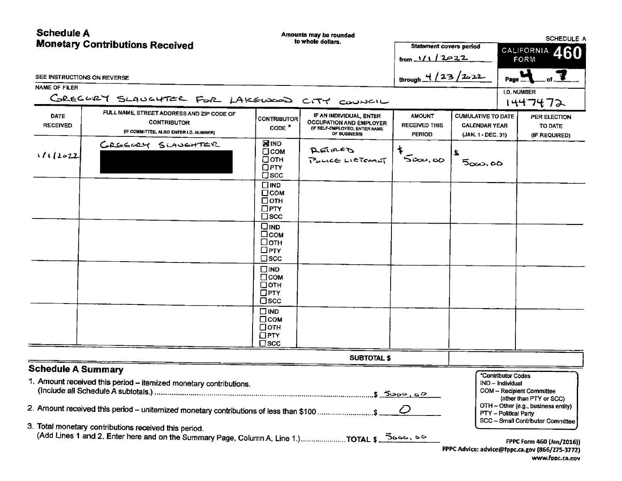| <b>Schedule A</b>              | <b>Monetary Contributions Received</b>                                                                                                                        |                                                                          | Amounts may be rounded<br>to whole dollars.                                                                | <b>Statement covers period</b><br>from $1/1/2022$      |                                                                         | SCHEDULE A<br>CALIFORNIA<br>460<br>FORM                         |                                                                                                                                  |
|--------------------------------|---------------------------------------------------------------------------------------------------------------------------------------------------------------|--------------------------------------------------------------------------|------------------------------------------------------------------------------------------------------------|--------------------------------------------------------|-------------------------------------------------------------------------|-----------------------------------------------------------------|----------------------------------------------------------------------------------------------------------------------------------|
| SEE INSTRUCTIONS ON REVERSE    |                                                                                                                                                               |                                                                          |                                                                                                            | through $\frac{4}{23}/2$ 222                           |                                                                         | Page _                                                          |                                                                                                                                  |
| <b>NAME OF FILER</b>           | GREGORY SLAUGHTER FOR LAKEWOOD CITY COUNCIL                                                                                                                   |                                                                          |                                                                                                            |                                                        |                                                                         | <b>I.D. NUMBER</b>                                              | ハイサフチフン                                                                                                                          |
| <b>DATE</b><br><b>RECEIVED</b> | FULL NAME, STREET ADDRESS AND ZIP CODE OF<br><b>CONTRIBUTOR</b><br>(IF COMMITTEE, ALSO ENTER I.D. NUMBER)                                                     | <b>CONTRIBUTOR</b><br>$CONF^*$                                           | IF AN INDIVIDUAL, ENTER<br><b>OCCUPATION AND EMPLOYER</b><br>(IF SELF-EMPLOYED, ENTER NAME<br>OF BUSINESSI | <b>AMOUNT</b><br><b>RECEIVED THIS</b><br><b>PERIOD</b> | <b>CUMULATIVE TO DATE</b><br><b>CALENDAR YEAR</b><br>(JAN, 1 - DEC, 31) |                                                                 | PER ELECTION<br>TO DATE<br>(IF REQUIRED)                                                                                         |
| 1112022                        | GREEGEY SLAVEHTER                                                                                                                                             | <b>NIND</b><br>$\square$ COM<br>□отн<br>$\Box$ PTY<br>$\square$ scc      | REINED<br>PULLE LICTOMAT                                                                                   | 500, 60                                                | £<br>500,00                                                             |                                                                 |                                                                                                                                  |
|                                |                                                                                                                                                               | $\square$ IND<br>$\square$ COM<br>⊡отн<br>$\square$ PTY<br>$\square$ scc |                                                                                                            |                                                        |                                                                         |                                                                 |                                                                                                                                  |
|                                |                                                                                                                                                               | $\square$ <sub>IND</sub><br>⊟сом<br>□отн<br>$\Box$ PTY<br>$\square$ scc  |                                                                                                            |                                                        |                                                                         |                                                                 |                                                                                                                                  |
|                                |                                                                                                                                                               | $\square$ IND<br>$\Box$ COM<br>□отн<br>$\square$ PTY<br>$\Box$ scc       |                                                                                                            |                                                        |                                                                         |                                                                 |                                                                                                                                  |
|                                |                                                                                                                                                               | $\Box$ IND<br>$\Box$ COM<br>$\Box$ OTH<br>$\Box$ PTY<br>l∃scc            |                                                                                                            |                                                        |                                                                         |                                                                 |                                                                                                                                  |
|                                |                                                                                                                                                               |                                                                          | <b>SUBTOTAL \$</b>                                                                                         |                                                        |                                                                         |                                                                 |                                                                                                                                  |
| <b>Schedule A Summary</b>      | 1. Amount received this period - itemized monetary contributions.<br>2. Amount received this period – unitemized monetary contributions of less than \$100 \$ |                                                                          |                                                                                                            | <u>.\$ నేంంట, ం౭</u><br>$\mathcal C$                   |                                                                         | *Contributor Codes<br>IND - Individual<br>PTY - Political Party | COM - Recipient Committee<br>(other than PTY or SCC)<br>OTH - Other (e.g., business entity)<br>SCC - Small Contributor Committee |
|                                | 3. Total monetary contributions received this period.                                                                                                         |                                                                          |                                                                                                            |                                                        |                                                                         |                                                                 | FPPC Form 460 (Jan/2016))<br>FPPC Advice: advice@fppc.ca.gov (866/275-3772)<br>www.fppc.ca.gov                                   |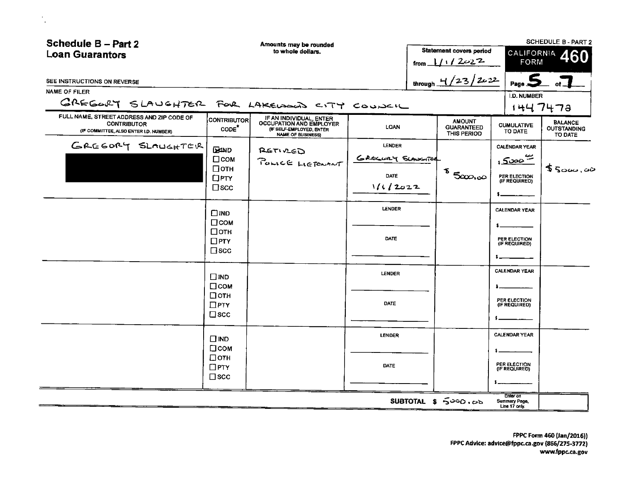| Schedule B - Part 2<br><b>Loan Guarantors</b>                                                             |                                                                      | Amounts may be rounded<br>to whole dollars.                                                                |                                                             | Statement covers period<br>from $1/1/2022$        | CALIFORNIA A<br>FORM                                                     | <b>SCHEDULE B - PART 2</b>                      |
|-----------------------------------------------------------------------------------------------------------|----------------------------------------------------------------------|------------------------------------------------------------------------------------------------------------|-------------------------------------------------------------|---------------------------------------------------|--------------------------------------------------------------------------|-------------------------------------------------|
| SEE INSTRUCTIONS ON REVERSE                                                                               |                                                                      |                                                                                                            |                                                             | through $4/23/2022$                               | .<br>د Page                                                              |                                                 |
| <b>NAME OF FILER</b><br>GREGORY SLAUGHTER FOR LAKEWOOD CITY COUNCIL                                       |                                                                      |                                                                                                            |                                                             |                                                   | I.D. NUMBER                                                              | 1447472                                         |
| FULL NAME, STREET ADDRESS AND ZIP CODE OF<br><b>CONTRIBUTOR</b><br>(IF COMMITTEE, ALSO ENTER I.D. NUMBER) | <b>CONTRIBUTOR</b><br>CODE <sup>*</sup>                              | IF AN INDIVIDUAL, ENTER<br>OCCUPATION AND EMPLOYER<br>(IF SELF-EMPLOYED, ENTER<br><b>NAME OF BUSINESS)</b> | <b>LOAN</b>                                                 | <b>AMOUNT</b><br><b>GUARANTEED</b><br>THIS PERIOD | <b>CUMULATIVE</b><br>TO DATE                                             | <b>BALANCE</b><br><b>OUTSTANDING</b><br>TO DATE |
| GREGORY SLAUGHTER                                                                                         | <b>EEAND</b><br>$\square$ COM<br>□отн<br>$\Box$ PTY<br>$\square$ scc | RETIVED<br>POLICE LIERWANT                                                                                 | <b>LENDER</b><br>GREGURY SLAWITER<br><b>DATE</b><br>1112022 | $\frac{1}{2}$ 5000,00                             | <b>CALENDAR YEAR</b><br><u>: 5000 =</u><br>PER ELECTION<br>(IF REQUIRED) | 5500,00                                         |
|                                                                                                           | $\square$ IND<br>□сом                                                |                                                                                                            | LENDER                                                      |                                                   | <b>CALENDAR YEAR</b>                                                     |                                                 |
|                                                                                                           | □отн<br>$\Box$ PTY<br>$\square$ scc                                  |                                                                                                            | DATE                                                        |                                                   | PER ELECTION<br>(IF REQUIRED)                                            |                                                 |
|                                                                                                           | $\n  IND\n$<br>$\square$ COM                                         |                                                                                                            | <b>LENDER</b>                                               |                                                   | <b>CALENDAR YEAR</b>                                                     |                                                 |
|                                                                                                           | □отн<br>$\Box$ PTY<br>$\square$ scc                                  |                                                                                                            | <b>DATE</b>                                                 |                                                   | PER ELECTION<br>(IF REQUIRED)                                            |                                                 |
|                                                                                                           | $\Box$ IND<br>□сом                                                   |                                                                                                            | <b>LENDER</b>                                               |                                                   | <b>CALENDAR YEAR</b>                                                     |                                                 |
|                                                                                                           | □отн<br>$\Box$ PTY<br>$\square$ scc                                  |                                                                                                            | <b>DATE</b>                                                 |                                                   | PER ELECTION<br>(IF REQUIRED)                                            |                                                 |
|                                                                                                           |                                                                      |                                                                                                            |                                                             | SUBTOTAL \$ 5000.00                               | Enter on<br>Summary Page,                                                |                                                 |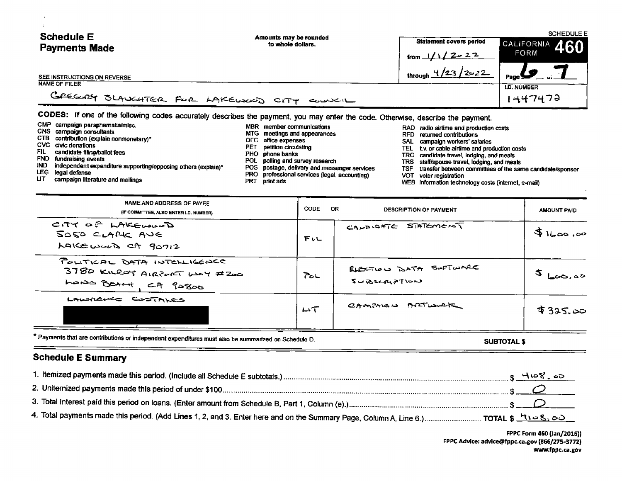| <b>Schedule E</b><br><b>Payments Made</b>           | Amounts may be rounded<br>to whole dollars.                                                                                     | <b>Statement covers period</b><br>CALIFORNIA 460<br>FORM<br>from $1/1/2$ $2$ $2$ $2$ |                                      |  |
|-----------------------------------------------------|---------------------------------------------------------------------------------------------------------------------------------|--------------------------------------------------------------------------------------|--------------------------------------|--|
| SEE INSTRUCTIONS ON REVERSE<br><b>NAME OF FILER</b> |                                                                                                                                 | through $\frac{1}{2}$ /23 / 2c 22                                                    | $P_{\text{age}}$ $\bullet$ $\bullet$ |  |
| GREGALY SLAUGHTER FUR LAKEUXUD CITY                 | ـــــانت                                                                                                                        |                                                                                      | I.D. NUMBER<br>1447472               |  |
|                                                     | CODES: If one of the following codes accurately describes the payment, you may enter the code. Otherwise, describe the payment, |                                                                                      |                                      |  |

|       | CMP campaign paraphernalia/misc.                              | MBR member communications                     |     | RAD radio airtime and production costs                    |
|-------|---------------------------------------------------------------|-----------------------------------------------|-----|-----------------------------------------------------------|
|       | CNS campaign consultants                                      | MTG meetings and appearances                  |     | RFD returned contributions                                |
|       | CTB contribution (explain nonmonetary)*                       | OFC office expenses                           |     |                                                           |
|       | CVC civic donations                                           | PET petition circulating                      |     | SAL campaign workers' salaries                            |
| FIL.  | candidate filing/ballot fees                                  | PHO phone banks                               |     | TEL t.v. or cable airtime and production costs            |
|       | FND fundraising events                                        |                                               |     | TRC candidate travel, lodging, and meals                  |
| IND - | independent expenditure supporting/opposing others (explain)* | POL polling and survey research               |     | TRS staff/spouse travel, lodging, and meals               |
|       | LEG legal defense                                             | POS postage, delivery and messenger services  | TSF | transfer between committees of the same candidate/sponsor |
| LIT.  | conservatives life and such a wall want the sun.              | PRO professional services (legal, accounting) |     | VOT voter registration                                    |

 $\cdot$ 

- 
- 
- 
- 
- 
- 
- LIT campaign literature and mailings exercise PRT print ads PRT print ads WEB information technology costs (internet, e-mail)

| NAME AND ADDRESS OF PAYEE<br>(IF COMMITTEE, ALSO ENTER I.D. NUMBER)                 | CODE | OR.<br>DESCRIPTION OF PAYMENT          | AMOUNT PAID         |
|-------------------------------------------------------------------------------------|------|----------------------------------------|---------------------|
| CITY OF LAKEWOOD<br>SOSO CLAPE AVE<br>LAKE would ct 90712                           | 下いし  | $C$ ANDIDATE STATEMENT                 | $91$ $00, 00$       |
| POLITICAL DATA INTELLIGENCE<br>3780 KILROY AIRPORT WAY #200<br>LONG BEACH, CA 90800 | مح∑  | ELECTION BATA SOFTWARE<br>SUBSCRIPTION | $5_{\text{LoO},00}$ |
| LAWARACE COSTALES                                                                   | いて   | CAMPRISO ARTIONAL                      | \$325.00            |

\* Payments that are contributions or independent expenditures must also be summarized on Schedule D. SUBTOTAL\$<br>
SUBTOTAL\$

## Schedule E Summary

FPPC Form 460 (Jan/2016)) FPPC Advice: advice@fppc.ca.gov (866/275-3772) www.fppc. ca. gov